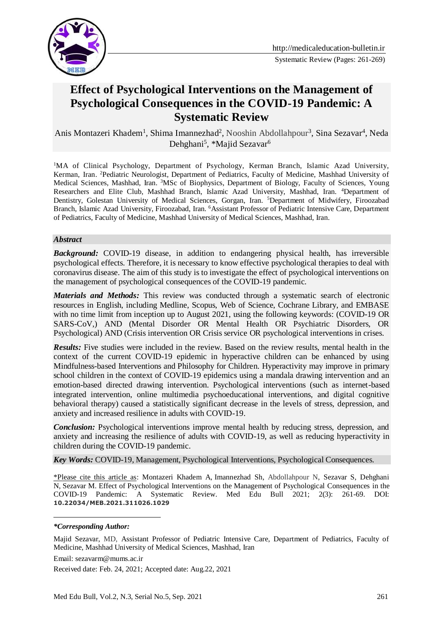

Systematic Review (Pages: 261-269)

# **Effect of Psychological Interventions on the Management of Psychological Consequences in the COVID-19 Pandemic: A Systematic Review**

Anis Montazeri Khadem<sup>1</sup>, Shima Imannezhad<sup>2</sup>, Nooshin Abdollahpour<sup>3</sup>, Sina Sezavar<sup>4</sup>, Neda Dehghani<sup>5</sup>, \*Majid Sezavar<sup>6</sup>

<sup>1</sup>MA of Clinical Psychology, Department of Psychology, Kerman Branch, Islamic Azad University, Kerman, Iran. <sup>2</sup>Pediatric Neurologist, Department of Pediatrics, Faculty of Medicine, Mashhad University of Medical Sciences, Mashhad, Iran. <sup>3</sup>MSc of Biophysics, Department of Biology, Faculty of Sciences, Young Researchers and Elite Club, Mashhad Branch, Islamic Azad University, Mashhad, Iran. <sup>4</sup>Department of Dentistry, Golestan University of Medical Sciences, Gorgan, Iran. <sup>5</sup>Department of Midwifery, Firoozabad Branch, Islamic Azad University, Firoozabad, Iran. <sup>6</sup>Assistant Professor of Pediatric Intensive Care, Department of Pediatrics, Faculty of Medicine, Mashhad University of Medical Sciences, Mashhad, Iran.

#### *Abstract*

*Background:* COVID-19 disease, in addition to endangering physical health, has irreversible psychological effects. Therefore, it is necessary to know effective psychological therapies to deal with coronavirus disease. The aim of this study is to investigate the effect of psychological interventions on the management of psychological consequences of the COVID-19 pandemic.

*Materials and Methods:* This review was conducted through a systematic search of electronic resources in English, including Medline, Scopus, Web of Science, Cochrane Library, and EMBASE with no time limit from inception up to August 2021, using the following keywords: (COVID-19 OR SARS-CoV,) AND (Mental Disorder OR Mental Health OR Psychiatric Disorders, OR Psychological) AND (Crisis intervention OR Crisis service OR psychological interventions in crises.

*Results:* Five studies were included in the review. Based on the review results, mental health in the context of the current COVID-19 epidemic in hyperactive children can be enhanced by using Mindfulness-based Interventions and Philosophy for Children. Hyperactivity may improve in primary school children in the context of COVID-19 epidemics using a mandala drawing intervention and an emotion-based directed drawing intervention. Psychological interventions (such as internet-based integrated intervention, online multimedia psychoeducational interventions, and digital cognitive behavioral therapy) caused a statistically significant decrease in the levels of stress, depression, and anxiety and increased resilience in adults with COVID-19.

**Conclusion:** Psychological interventions improve mental health by reducing stress, depression, and anxiety and increasing the resilience of adults with COVID-19, as well as reducing hyperactivity in children during the COVID-19 pandemic.

*Key Words:* COVID-19, Management, Psychological Interventions, Psychological Consequences.

\*Please cite this article as: Montazeri Khadem A, Imannezhad Sh, Abdollahpour N, Sezavar S, Dehghani N, Sezavar M. Effect of Psychological Interventions on the Management of Psychological Consequences in the COVID-19 Pandemic: A Systematic Review. Med Edu Bull 2021; 2(3): 261-69. DOI: **10.22034/MEB.2021.311026.1029**

<u>.</u>

Majid Sezavar, MD, Assistant Professor of Pediatric Intensive Care, Department of Pediatrics, Faculty of Medicine, Mashhad University of Medical Sciences, Mashhad, Iran

Email: sezavarm@mums.ac.ir

Received date: Feb. 24, 2021; Accepted date: Aug.22, 2021

*<sup>\*</sup>Corresponding Author:*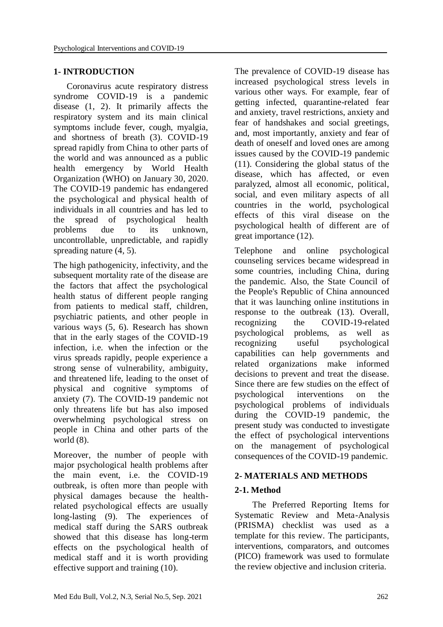## **1- INTRODUCTION**

 Coronavirus acute respiratory distress syndrome COVID-19 is a pandemic disease (1, 2). It primarily affects the respiratory system and its main clinical symptoms include fever, cough, myalgia, and shortness of breath (3). COVID-19 spread rapidly from China to other parts of the world and was announced as a public health emergency by World Health Organization (WHO) on January 30, 2020. The COVID-19 pandemic has endangered the psychological and physical health of individuals in all countries and has led to the spread of psychological health problems due to its unknown, uncontrollable, unpredictable, and rapidly spreading nature (4, 5).

The high pathogenicity, infectivity, and the subsequent mortality rate of the disease are the factors that affect the psychological health status of different people ranging from patients to medical staff, children, psychiatric patients, and other people in various ways (5, 6). Research has shown that in the early stages of the COVID-19 infection, i.e. when the infection or the virus spreads rapidly, people experience a strong sense of vulnerability, ambiguity, and threatened life, leading to the onset of physical and cognitive symptoms of anxiety (7). The COVID-19 pandemic not only threatens life but has also imposed overwhelming psychological stress on people in China and other parts of the world (8).

Moreover, the number of people with major psychological health problems after the main event, i.e. the COVID-19 outbreak, is often more than people with physical damages because the healthrelated psychological effects are usually long-lasting (9). The experiences of medical staff during the SARS outbreak showed that this disease has long-term effects on the psychological health of medical staff and it is worth providing effective support and training (10).

The prevalence of COVID-19 disease has increased psychological stress levels in various other ways. For example, fear of getting infected, quarantine-related fear and anxiety, travel restrictions, anxiety and fear of handshakes and social greetings, and, most importantly, anxiety and fear of death of oneself and loved ones are among issues caused by the COVID-19 pandemic (11). Considering the global status of the disease, which has affected, or even paralyzed, almost all economic, political, social, and even military aspects of all countries in the world, psychological effects of this viral disease on the psychological health of different are of great importance (12).

Telephone and online psychological counseling services became widespread in some countries, including China, during the pandemic. Also, the State Council of the People's Republic of China announced that it was launching online institutions in response to the outbreak (13). Overall, recognizing the COVID-19-related psychological problems, as well as recognizing useful psychological capabilities can help governments and related organizations make informed decisions to prevent and treat the disease. Since there are few studies on the effect of psychological interventions on the psychological problems of individuals during the COVID-19 pandemic, the present study was conducted to investigate the effect of psychological interventions on the management of psychological consequences of the COVID-19 pandemic.

#### **2- MATERIALS AND METHODS**

#### **2-1. Method**

 The Preferred Reporting Items for Systematic Review and Meta-Analysis (PRISMA) checklist was used as a template for this review. The participants, interventions, comparators, and outcomes (PICO) framework was used to formulate the review objective and inclusion criteria.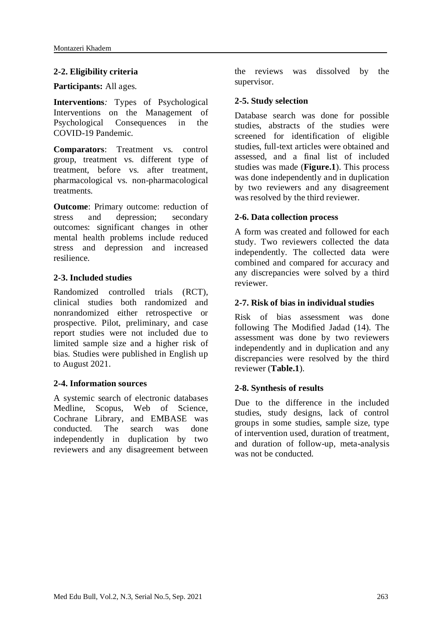## **2-2. Eligibility criteria**

#### **Participants:** All ages.

**Interventions***:* Types of Psychological Interventions on the Management of Psychological Consequences in the COVID-19 Pandemic.

**Comparators**: Treatment vs. control group, treatment vs. different type of treatment, before vs. after treatment, pharmacological vs. non-pharmacological treatments.

**Outcome:** Primary outcome: reduction of stress and depression; secondary outcomes: significant changes in other mental health problems include reduced stress and depression and increased resilience.

## **2-3. Included studies**

Randomized controlled trials (RCT), clinical studies both randomized and nonrandomized either retrospective or prospective. Pilot, preliminary, and case report studies were not included due to limited sample size and a higher risk of bias. Studies were published in English up to August 2021.

#### **2-4. Information sources**

A systemic search of electronic databases Medline, Scopus, Web of Science, Cochrane Library, and EMBASE was conducted. The search was done independently in duplication by two reviewers and any disagreement between the reviews was dissolved by the supervisor.

## **2-5. Study selection**

Database search was done for possible studies, abstracts of the studies were screened for identification of eligible studies, full-text articles were obtained and assessed, and a final list of included studies was made (**Figure.1**). This process was done independently and in duplication by two reviewers and any disagreement was resolved by the third reviewer.

## **2-6. Data collection process**

A form was created and followed for each study. Two reviewers collected the data independently. The collected data were combined and compared for accuracy and any discrepancies were solved by a third reviewer.

## **2-7. Risk of bias in individual studies**

Risk of bias assessment was done following The Modified Jadad (14). The assessment was done by two reviewers independently and in duplication and any discrepancies were resolved by the third reviewer (**Table.1**).

## **2-8. Synthesis of results**

Due to the difference in the included studies, study designs, lack of control groups in some studies, sample size, type of intervention used, duration of treatment, and duration of follow-up, meta-analysis was not be conducted.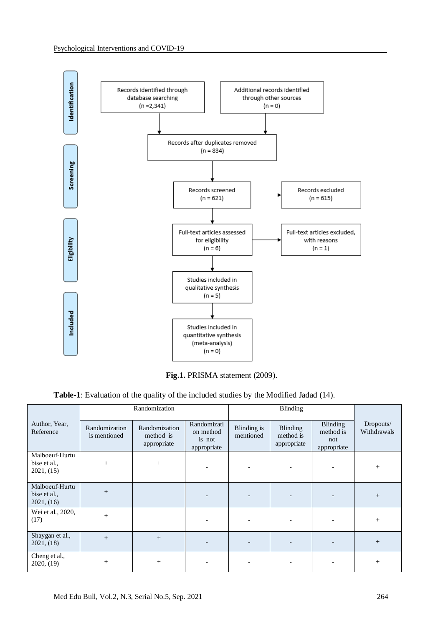

Fig.1. PRISMA statement (2009).

**Table-1**: Evaluation of the quality of the included studies by the Modified Jadad (14).

|                                              |                               | Randomization                                                                                  |  |                          |                                      |                                             |                          |
|----------------------------------------------|-------------------------------|------------------------------------------------------------------------------------------------|--|--------------------------|--------------------------------------|---------------------------------------------|--------------------------|
| Author, Year,<br>Reference                   | Randomization<br>is mentioned | Randomizati<br>Randomization<br>on method<br>method is<br>is not<br>appropriate<br>appropriate |  | Blinding is<br>mentioned | Blinding<br>method is<br>appropriate | Blinding<br>method is<br>not<br>appropriate | Dropouts/<br>Withdrawals |
| Malboeuf-Hurtu<br>bise et al.,<br>2021, (15) | $^{+}$                        | $^{+}$                                                                                         |  | $\overline{\phantom{0}}$ |                                      |                                             | $^{+}$                   |
| Malboeuf-Hurtu<br>bise et al.,<br>2021, (16) | $+$                           |                                                                                                |  | $\qquad \qquad -$        |                                      |                                             | $^{+}$                   |
| Wei et al., 2020,<br>(17)                    | $^{+}$                        |                                                                                                |  | $\overline{\phantom{a}}$ |                                      |                                             | $^{+}$                   |
| Shaygan et al.,<br>2021, (18)                | $+$                           |                                                                                                |  |                          |                                      |                                             | $^{+}$                   |
| Cheng et al.,<br>2020, (19)                  | $\pm$                         | $^{+}$                                                                                         |  |                          |                                      |                                             | $\pm$                    |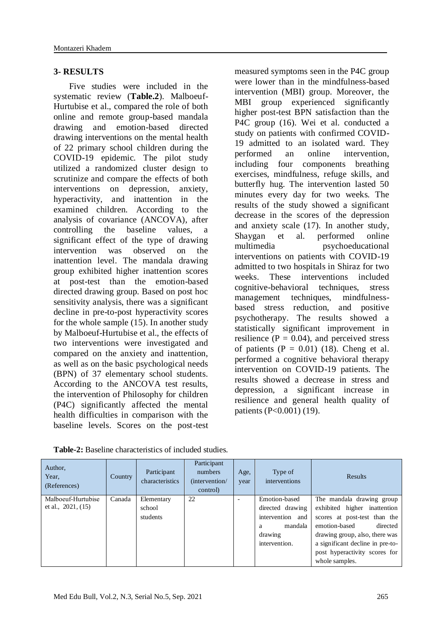## **3- RESULTS**

 Five studies were included in the systematic review (**Table.2**). Malboeuf-Hurtubise et al., compared the role of both online and remote group-based mandala drawing and emotion-based directed drawing interventions on the mental health of 22 primary school children during the COVID-19 epidemic. The pilot study utilized a randomized cluster design to scrutinize and compare the effects of both interventions on depression, anxiety, hyperactivity, and inattention in the examined children. According to the analysis of covariance (ANCOVA), after controlling the baseline values, a significant effect of the type of drawing intervention was observed on the inattention level. The mandala drawing group exhibited higher inattention scores at post-test than the emotion-based directed drawing group. Based on post hoc sensitivity analysis, there was a significant decline in pre-to-post hyperactivity scores for the whole sample (15). In another study by Malboeuf-Hurtubise et al., the effects of two interventions were investigated and compared on the anxiety and inattention, as well as on the basic psychological needs (BPN) of 37 elementary school students. According to the ANCOVA test results, the intervention of Philosophy for children (P4C) significantly affected the mental health difficulties in comparison with the baseline levels. Scores on the post-test

measured symptoms seen in the P4C group were lower than in the mindfulness-based intervention (MBI) group. Moreover, the MBI group experienced significantly higher post-test BPN satisfaction than the P4C group (16). Wei et al. conducted a study on patients with confirmed COVID-19 admitted to an isolated ward. They<br>performed an online intervention performed an online intervention, including four components breathing exercises, mindfulness, refuge skills, and butterfly hug. The intervention lasted 50 minutes every day for two weeks. The results of the study showed a significant decrease in the scores of the depression and anxiety scale (17). In another study, Shaygan et al. performed online multimedia psychoeducational interventions on patients with COVID-19 admitted to two hospitals in Shiraz for two weeks. These interventions included cognitive-behavioral techniques, stress management techniques, mindfulnessbased stress reduction, and positive psychotherapy. The results showed a statistically significant improvement in resilience ( $P = 0.04$ ), and perceived stress of patients  $(P = 0.01)$  (18). Cheng et al. performed a cognitive behavioral therapy intervention on COVID-19 patients. The results showed a decrease in stress and depression, a significant increase in resilience and general health quality of patients (P<0.001) (19).

| Author,<br>Year,<br>(References) | Country | Participant<br>characteristics | Participant<br>numbers<br>(intervention/<br>control) | Age,<br>year | Type of<br>interventions | Results                          |
|----------------------------------|---------|--------------------------------|------------------------------------------------------|--------------|--------------------------|----------------------------------|
| Malboeuf-Hurtubise               | Canada  | Elementary                     | 22                                                   | ۰            | Emotion-based            | The mandala drawing group        |
| et al., $2021, (15)$             |         | school                         |                                                      |              | directed drawing         | exhibited higher inattention     |
|                                  |         | students                       |                                                      |              | intervention and         | scores at post-test than the     |
|                                  |         |                                |                                                      |              | mandala<br>a             | emotion-based<br>directed        |
|                                  |         |                                |                                                      |              | drawing                  | drawing group, also, there was   |
|                                  |         |                                |                                                      |              | intervention.            | a significant decline in pre-to- |
|                                  |         |                                |                                                      |              |                          | post hyperactivity scores for    |
|                                  |         |                                |                                                      |              |                          | whole samples.                   |

**Table-2:** Baseline characteristics of included studies.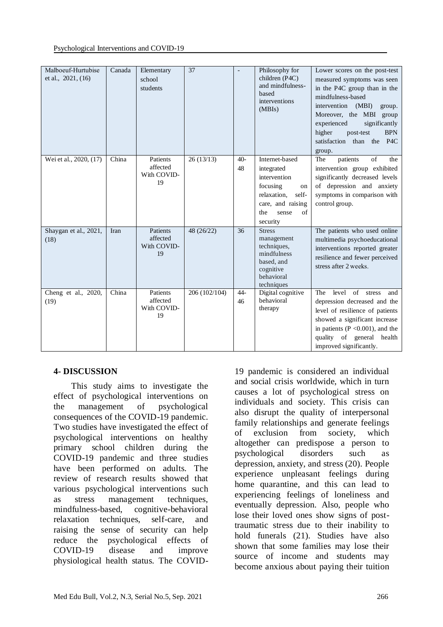| Malboeuf-Hurtubise<br>et al., $2021, (16)$ | Canada | Elementary<br>school<br>students          | 37            | $\overline{\phantom{a}}$ | Philosophy for<br>children (P4C)<br>and mindfulness-<br>based<br>interventions<br>(MBIs)                                                              | Lower scores on the post-test<br>measured symptoms was seen<br>in the P4C group than in the<br>mindfulness-based<br>intervention<br>(MBI)<br>group.<br>Moreover, the MBI group<br>experienced<br>significantly<br>higher<br>post-test<br><b>BPN</b><br>satisfaction than the P4C<br>group. |
|--------------------------------------------|--------|-------------------------------------------|---------------|--------------------------|-------------------------------------------------------------------------------------------------------------------------------------------------------|--------------------------------------------------------------------------------------------------------------------------------------------------------------------------------------------------------------------------------------------------------------------------------------------|
| Wei et al., 2020, (17)                     | China  | Patients<br>affected<br>With COVID-<br>19 | 26(13/13)     | $40-$<br>48              | Internet-based<br>integrated<br>intervention<br>focusing<br>on<br>relaxation.<br>self-<br>care, and raising<br>$\sigma$ f<br>the<br>sense<br>security | patients<br>of<br>the<br>The<br>intervention group exhibited<br>significantly decreased levels<br>of depression and anxiety<br>symptoms in comparison with<br>control group.                                                                                                               |
| Shaygan et al., 2021,<br>(18)              | Iran   | Patients<br>affected<br>With COVID-<br>19 | 48 (26/22)    | 36                       | <b>Stress</b><br>management<br>techniques,<br>mindfulness<br>based, and<br>cognitive<br>behavioral<br>techniques                                      | The patients who used online<br>multimedia psychoeducational<br>interventions reported greater<br>resilience and fewer perceived<br>stress after 2 weeks.                                                                                                                                  |
| Cheng et al., 2020,<br>(19)                | China  | Patients<br>affected<br>With COVID-<br>19 | 206 (102/104) | $44 -$<br>46             | Digital cognitive<br>behavioral<br>therapy                                                                                                            | of<br>level<br>The<br>stress<br>and<br>depression decreased and the<br>level of resilience of patients<br>showed a significant increase<br>in patients ( $P \le 0.001$ ), and the<br>quality of general health<br>improved significantly.                                                  |

## **4- DISCUSSION**

 This study aims to investigate the effect of psychological interventions on the management of psychological consequences of the COVID-19 pandemic. Two studies have investigated the effect of psychological interventions on healthy primary school children during the COVID-19 pandemic and three studies have been performed on adults. The review of research results showed that various psychological interventions such as stress management techniques, mindfulness-based, cognitive-behavioral relaxation techniques, self-care, and raising the sense of security can help reduce the psychological effects of COVID-19 disease and improve physiological health status. The COVID- 19 pandemic is considered an individual and social crisis worldwide, which in turn causes a lot of psychological stress on individuals and society. This crisis can also disrupt the quality of interpersonal family relationships and generate feelings of exclusion from society, which altogether can predispose a person to psychological disorders such as depression, anxiety, and stress (20). People experience unpleasant feelings during home quarantine, and this can lead to experiencing feelings of loneliness and eventually depression. Also, people who lose their loved ones show signs of posttraumatic stress due to their inability to hold funerals (21). Studies have also shown that some families may lose their source of income and students may become anxious about paying their tuition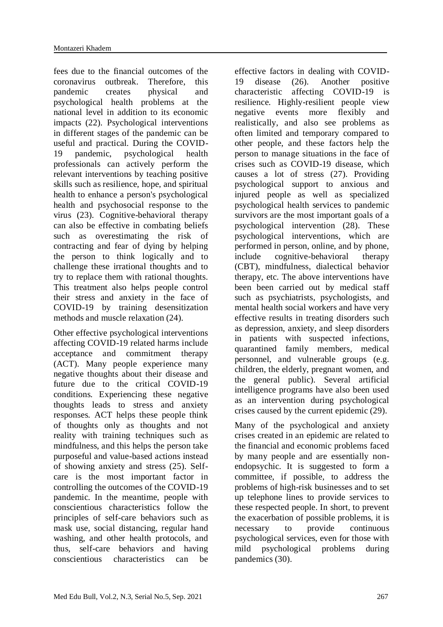fees due to the financial outcomes of the coronavirus outbreak. Therefore, this pandemic creates physical and psychological health problems at the national level in addition to its economic impacts (22). Psychological interventions in different stages of the pandemic can be useful and practical. During the COVID-19 pandemic, psychological health professionals can actively perform the relevant interventions by teaching positive skills such as resilience, hope, and spiritual health to enhance a person's psychological health and psychosocial response to the virus (23). Cognitive-behavioral therapy can also be effective in combating beliefs such as overestimating the risk of contracting and fear of dying by helping the person to think logically and to challenge these irrational thoughts and to try to replace them with rational thoughts. This treatment also helps people control their stress and anxiety in the face of COVID-19 by training desensitization methods and muscle relaxation (24).

Other effective psychological interventions affecting COVID-19 related harms include acceptance and commitment therapy (ACT). Many people experience many negative thoughts about their disease and future due to the critical COVID-19 conditions. Experiencing these negative thoughts leads to stress and anxiety responses. ACT helps these people think of thoughts only as thoughts and not reality with training techniques such as mindfulness, and this helps the person take purposeful and value-based actions instead of showing anxiety and stress (25). Selfcare is the most important factor in controlling the outcomes of the COVID-19 pandemic. In the meantime, people with conscientious characteristics follow the principles of self-care behaviors such as mask use, social distancing, regular hand washing, and other health protocols, and thus, self-care behaviors and having conscientious characteristics can be

effective factors in dealing with COVID-19 disease (26). Another positive characteristic affecting COVID-19 is resilience. Highly-resilient people view negative events more flexibly and realistically, and also see problems as often limited and temporary compared to other people, and these factors help the person to manage situations in the face of crises such as COVID-19 disease, which causes a lot of stress (27). Providing psychological support to anxious and injured people as well as specialized psychological health services to pandemic survivors are the most important goals of a psychological intervention (28). These psychological interventions, which are performed in person, online, and by phone, include cognitive-behavioral therapy (CBT), mindfulness, dialectical behavior therapy, etc. The above interventions have been been carried out by medical staff such as psychiatrists, psychologists, and mental health social workers and have very effective results in treating disorders such as depression, anxiety, and sleep disorders in patients with suspected infections, quarantined family members, medical personnel, and vulnerable groups (e.g. children, the elderly, pregnant women, and the general public). Several artificial intelligence programs have also been used as an intervention during psychological crises caused by the current epidemic (29).

Many of the psychological and anxiety crises created in an epidemic are related to the financial and economic problems faced by many people and are essentially nonendopsychic. It is suggested to form a committee, if possible, to address the problems of high-risk businesses and to set up telephone lines to provide services to these respected people. In short, to prevent the exacerbation of possible problems, it is<br>necessary to provide continuous necessary to provide continuous psychological services, even for those with mild psychological problems during pandemics (30).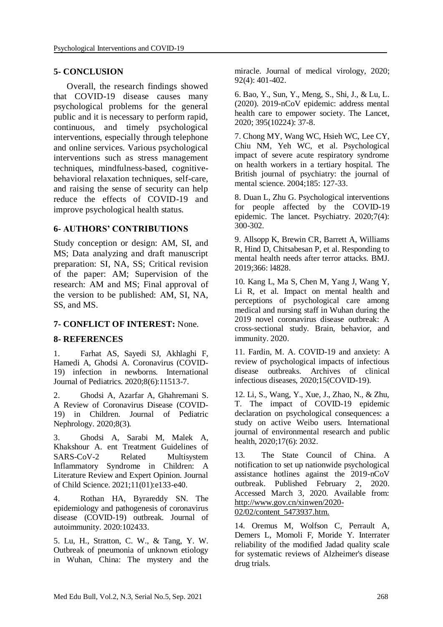### **5- CONCLUSION**

 Overall, the research findings showed that COVID-19 disease causes many psychological problems for the general public and it is necessary to perform rapid, continuous, and timely psychological interventions, especially through telephone and online services. Various psychological interventions such as stress management techniques, mindfulness-based, cognitivebehavioral relaxation techniques, self-care, and raising the sense of security can help reduce the effects of COVID-19 and improve psychological health status.

## **6- AUTHORS' CONTRIBUTIONS**

Study conception or design: AM, SI, and MS; Data analyzing and draft manuscript preparation: SI, NA, SS; Critical revision of the paper: AM; Supervision of the research: AM and MS; Final approval of the version to be published: AM, SI, NA, SS, and MS.

#### **7- CONFLICT OF INTEREST:** None.

#### **8- REFERENCES**

1. Farhat AS, Sayedi SJ, Akhlaghi F, Hamedi A, Ghodsi A. Coronavirus (COVID-19) infection in newborns. International Journal of Pediatrics. 2020;8(6):11513-7.

2. Ghodsi A, Azarfar A, Ghahremani S. A Review of Coronavirus Disease (COVID-19) in Children. Journal of Pediatric Nephrology. 2020;8(3).

3. Ghodsi A, Sarabi M, Malek A, Khakshour A. ent Treatment Guidelines of SARS-CoV-2 Related Multisystem Inflammatory Syndrome in Children: A Literature Review and Expert Opinion. Journal of Child Science. 2021;11(01):e133-e40.

4. Rothan HA, Byrareddy SN. The epidemiology and pathogenesis of coronavirus disease (COVID-19) outbreak. Journal of autoimmunity. 2020:102433.

5. Lu, H., Stratton, C. W., & Tang, Y. W. Outbreak of pneumonia of unknown etiology in Wuhan, China: The mystery and the miracle. Journal of medical virology, 2020; 92(4): 401-402.

6. Bao, Y., Sun, Y., Meng, S., Shi, J., & Lu, L. (2020). 2019-nCoV epidemic: address mental health care to empower society. The Lancet, 2020; 395(10224): 37-8.

7. Chong MY, Wang WC, Hsieh WC, Lee CY, Chiu NM, Yeh WC, et al. Psychological impact of severe acute respiratory syndrome on health workers in a tertiary hospital. The British journal of psychiatry: the journal of mental science. 2004;185: 127-33.

8. Duan L, Zhu G. Psychological interventions for people affected by the COVID-19 epidemic. The lancet. Psychiatry. 2020;7(4): 300-302.

9. Allsopp K, Brewin CR, Barrett A, Williams R, Hind D, Chitsabesan P, et al. Responding to mental health needs after terror attacks. BMJ. 2019;366: l4828.

10. Kang L, Ma S, Chen M, Yang J, Wang Y, Li R, et al. Impact on mental health and perceptions of psychological care among medical and nursing staff in Wuhan during the 2019 novel coronavirus disease outbreak: A cross-sectional study. Brain, behavior, and immunity. 2020.

11. Fardin, M. A. COVID-19 and anxiety: A review of psychological impacts of infectious disease outbreaks. Archives of clinical infectious diseases, 2020;15(COVID-19).

12. Li, S., Wang, Y., Xue, J., Zhao, N., & Zhu, T. The impact of COVID-19 epidemic declaration on psychological consequences: a study on active Weibo users. International journal of environmental research and public health, 2020;17(6): 2032.

13. The State Council of China. A notification to set up nationwide psychological assistance hotlines against the 2019-nCoV outbreak. Published February 2, 2020. Accessed March 3, 2020. Available from: http://www.gov.cn/xinwen/2020- 02/02/content\_5473937.htm.

14. Oremus M, Wolfson C, Perrault A, Demers L, Momoli F, Moride Y. Interrater reliability of the modified Jadad quality scale for systematic reviews of Alzheimer's disease drug trials.